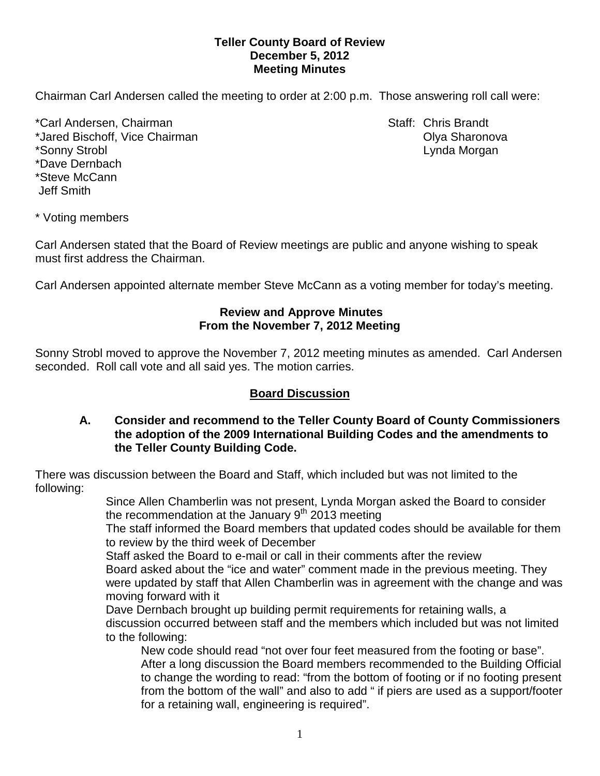## **Teller County Board of Review December 5, 2012 Meeting Minutes**

Chairman Carl Andersen called the meeting to order at 2:00 p.m. Those answering roll call were:

\*Carl Andersen, Chairman Staff: Chris Brandt \*Jared Bischoff, Vice Chairman **Community Community Community Community Community Community Community Community Community Community Community Community Community Community Community Community** \*Sonny Strobl Lynda Morgan \*Dave Dernbach \*Steve McCann Jeff Smith

\* Voting members

Carl Andersen stated that the Board of Review meetings are public and anyone wishing to speak must first address the Chairman.

Carl Andersen appointed alternate member Steve McCann as a voting member for today's meeting.

## **Review and Approve Minutes From the November 7, 2012 Meeting**

Sonny Strobl moved to approve the November 7, 2012 meeting minutes as amended. Carl Andersen seconded.Roll call vote and all said yes. The motion carries.

## **Board Discussion**

## **A. Consider and recommend to the Teller County Board of County Commissioners the adoption of the 2009 International Building Codes and the amendments to the Teller County Building Code.**

There was discussion between the Board and Staff, which included but was not limited to the following:

Since Allen Chamberlin was not present, Lynda Morgan asked the Board to consider the recommendation at the January  $9<sup>th</sup>$  2013 meeting

The staff informed the Board members that updated codes should be available for them to review by the third week of December

Staff asked the Board to e-mail or call in their comments after the review

Board asked about the "ice and water" comment made in the previous meeting. They were updated by staff that Allen Chamberlin was in agreement with the change and was moving forward with it

Dave Dernbach brought up building permit requirements for retaining walls, a discussion occurred between staff and the members which included but was not limited to the following:

New code should read "not over four feet measured from the footing or base". After a long discussion the Board members recommended to the Building Official to change the wording to read: "from the bottom of footing or if no footing present from the bottom of the wall" and also to add " if piers are used as a support/footer for a retaining wall, engineering is required".